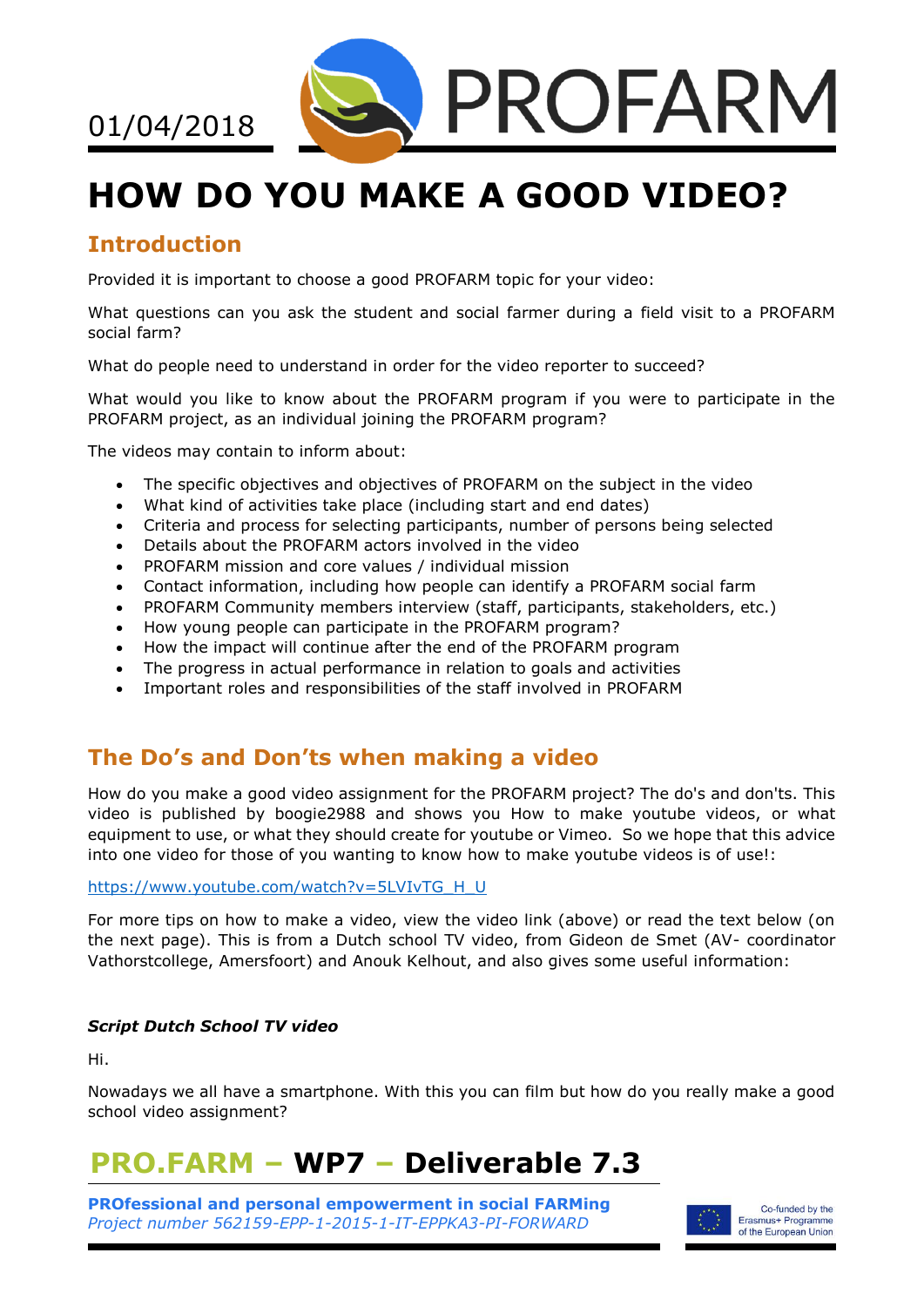

# **HOW DO YOU MAKE A GOOD VIDEO?**

## **Introduction**

01/04/2018

Provided it is important to choose a good PROFARM topic for your video:

What questions can you ask the student and social farmer during a field visit to a PROFARM social farm?

What do people need to understand in order for the video reporter to succeed?

What would you like to know about the PROFARM program if you were to participate in the PROFARM project, as an individual joining the PROFARM program?

The videos may contain to inform about:

- The specific objectives and objectives of PROFARM on the subject in the video
- What kind of activities take place (including start and end dates)
- Criteria and process for selecting participants, number of persons being selected
- Details about the PROFARM actors involved in the video
- PROFARM mission and core values / individual mission
- Contact information, including how people can identify a PROFARM social farm
- PROFARM Community members interview (staff, participants, stakeholders, etc.)
- How young people can participate in the PROFARM program?
- How the impact will continue after the end of the PROFARM program
- The progress in actual performance in relation to goals and activities
- Important roles and responsibilities of the staff involved in PROFARM

### **The Do's and Don'ts when making a video**

How do you make a good video assignment for the PROFARM project? The do's and don'ts. This video is published by boogie2988 and shows you How to make youtube videos, or what equipment to use, or what they should create for youtube or Vimeo. So we hope that this advice into one video for those of you wanting to know how to make youtube videos is of use!:

#### [https://www.youtube.com/watch?v=5LVIvTG\\_H\\_U](https://www.youtube.com/watch?v=5LVIvTG_H_U)

For more tips on how to make a video, view the video link (above) or read the text below (on the next page). This is from a Dutch school TV video, from Gideon de Smet (AV- coordinator Vathorstcollege, Amersfoort) and Anouk Kelhout, and also gives some useful information:

#### *Script Dutch School TV video*

Hi.

Nowadays we all have a smartphone. With this you can film but how do you really make a good school video assignment?

## **PRO.FARM – WP7 – Deliverable 7.3**

**PROfessional and personal empowerment in social FARMing** *Project number 562159-EPP-1-2015-1-IT-EPPKA3-PI-FORWARD*